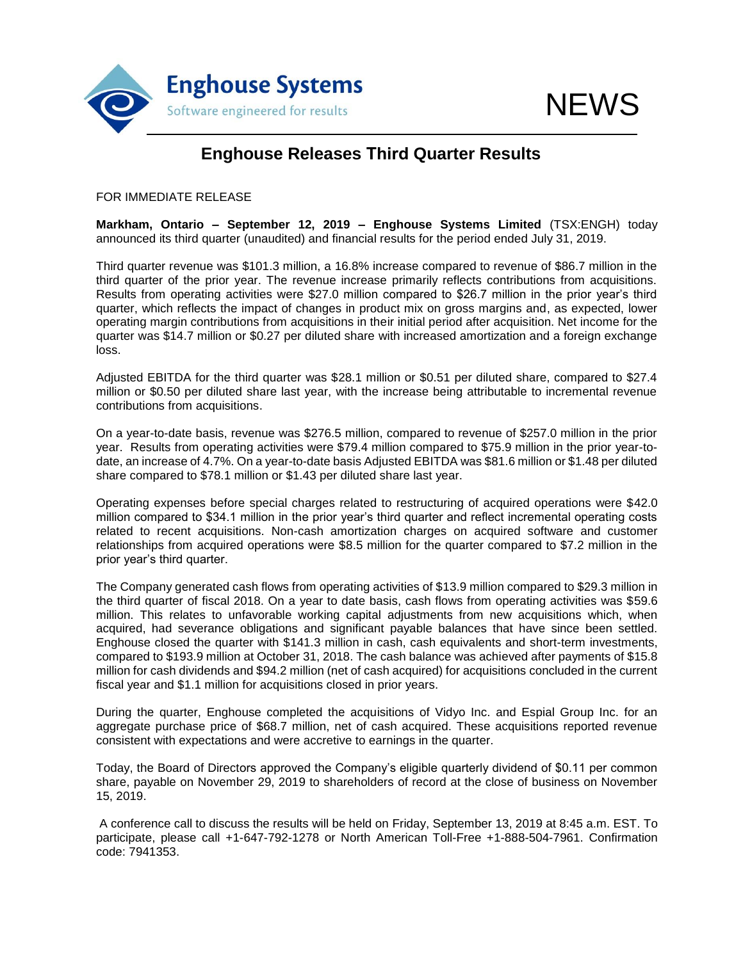

## **Enghouse Releases Third Quarter Results**

FOR IMMEDIATE RELEASE

**Markham, Ontario – September 12, 2019 – Enghouse Systems Limited** (TSX:ENGH) today announced its third quarter (unaudited) and financial results for the period ended July 31, 2019.

Third quarter revenue was \$101.3 million, a 16.8% increase compared to revenue of \$86.7 million in the third quarter of the prior year. The revenue increase primarily reflects contributions from acquisitions. Results from operating activities were \$27.0 million compared to \$26.7 million in the prior year's third quarter, which reflects the impact of changes in product mix on gross margins and, as expected, lower operating margin contributions from acquisitions in their initial period after acquisition. Net income for the quarter was \$14.7 million or \$0.27 per diluted share with increased amortization and a foreign exchange loss.

Adjusted EBITDA for the third quarter was \$28.1 million or \$0.51 per diluted share, compared to \$27.4 million or \$0.50 per diluted share last year, with the increase being attributable to incremental revenue contributions from acquisitions.

On a year-to-date basis, revenue was \$276.5 million, compared to revenue of \$257.0 million in the prior year. Results from operating activities were \$79.4 million compared to \$75.9 million in the prior year-todate, an increase of 4.7%. On a year-to-date basis Adjusted EBITDA was \$81.6 million or \$1.48 per diluted share compared to \$78.1 million or \$1.43 per diluted share last year.

Operating expenses before special charges related to restructuring of acquired operations were \$42.0 million compared to \$34.1 million in the prior year's third quarter and reflect incremental operating costs related to recent acquisitions. Non-cash amortization charges on acquired software and customer relationships from acquired operations were \$8.5 million for the quarter compared to \$7.2 million in the prior year's third quarter.

The Company generated cash flows from operating activities of \$13.9 million compared to \$29.3 million in the third quarter of fiscal 2018. On a year to date basis, cash flows from operating activities was \$59.6 million. This relates to unfavorable working capital adjustments from new acquisitions which, when acquired, had severance obligations and significant payable balances that have since been settled. Enghouse closed the quarter with \$141.3 million in cash, cash equivalents and short-term investments, compared to \$193.9 million at October 31, 2018. The cash balance was achieved after payments of \$15.8 million for cash dividends and \$94.2 million (net of cash acquired) for acquisitions concluded in the current fiscal year and \$1.1 million for acquisitions closed in prior years.

During the quarter, Enghouse completed the acquisitions of Vidyo Inc. and Espial Group Inc. for an aggregate purchase price of \$68.7 million, net of cash acquired. These acquisitions reported revenue consistent with expectations and were accretive to earnings in the quarter.

Today, the Board of Directors approved the Company's eligible quarterly dividend of \$0.11 per common share, payable on November 29, 2019 to shareholders of record at the close of business on November 15, 2019.

A conference call to discuss the results will be held on Friday, September 13, 2019 at 8:45 a.m. EST. To participate, please call +1-647-792-1278 or North American Toll-Free +1-888-504-7961. Confirmation code: 7941353.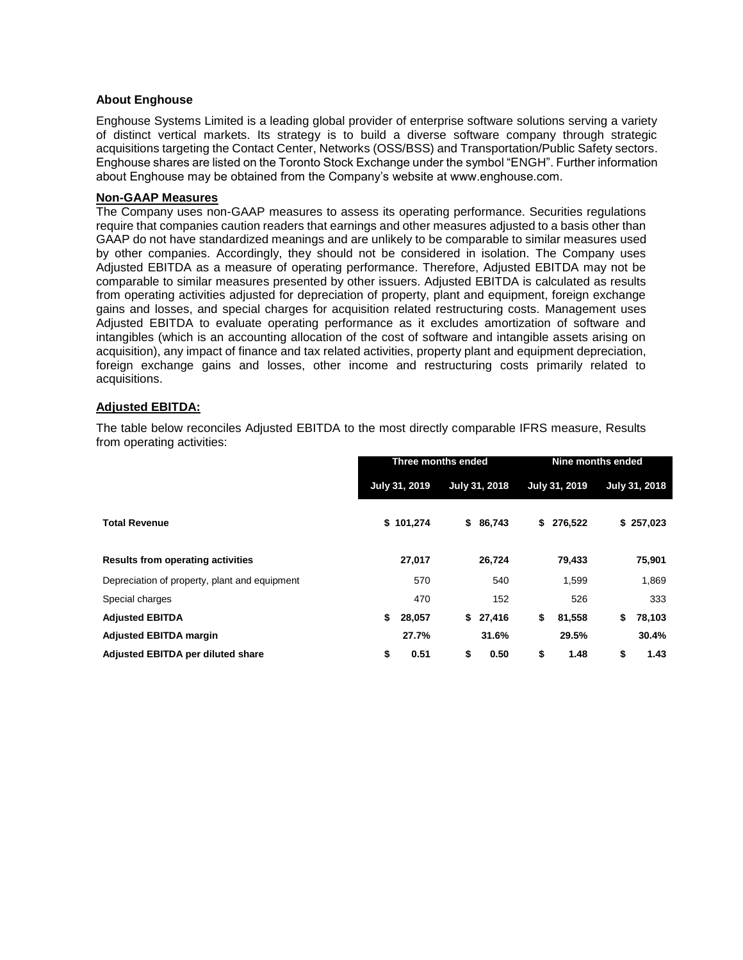### **About Enghouse**

Enghouse Systems Limited is a leading global provider of enterprise software solutions serving a variety of distinct vertical markets. Its strategy is to build a diverse software company through strategic acquisitions targeting the Contact Center, Networks (OSS/BSS) and Transportation/Public Safety sectors. Enghouse shares are listed on the Toronto Stock Exchange under the symbol "ENGH". Further information about Enghouse may be obtained from the Company's website at www.enghouse.com.

#### **Non-GAAP Measures**

The Company uses non-GAAP measures to assess its operating performance. Securities regulations require that companies caution readers that earnings and other measures adjusted to a basis other than GAAP do not have standardized meanings and are unlikely to be comparable to similar measures used by other companies. Accordingly, they should not be considered in isolation. The Company uses Adjusted EBITDA as a measure of operating performance. Therefore, Adjusted EBITDA may not be comparable to similar measures presented by other issuers. Adjusted EBITDA is calculated as results from operating activities adjusted for depreciation of property, plant and equipment, foreign exchange gains and losses, and special charges for acquisition related restructuring costs. Management uses Adjusted EBITDA to evaluate operating performance as it excludes amortization of software and intangibles (which is an accounting allocation of the cost of software and intangible assets arising on acquisition), any impact of finance and tax related activities, property plant and equipment depreciation, foreign exchange gains and losses, other income and restructuring costs primarily related to acquisitions.

### **Adjusted EBITDA:**

The table below reconciles Adjusted EBITDA to the most directly comparable IFRS measure, Results from operating activities:

|                                               | Three months ended |               |               |          | Nine months ended |           |    |               |
|-----------------------------------------------|--------------------|---------------|---------------|----------|-------------------|-----------|----|---------------|
|                                               |                    | July 31, 2019 | July 31, 2018 |          | July 31, 2019     |           |    | July 31, 2018 |
| <b>Total Revenue</b>                          |                    | \$101,274     |               | \$86,743 |                   | \$276,522 |    | \$257,023     |
| <b>Results from operating activities</b>      |                    | 27,017        |               | 26,724   |                   | 79,433    |    | 75,901        |
| Depreciation of property, plant and equipment |                    | 570           |               | 540      |                   | 1,599     |    | 1,869         |
| Special charges                               |                    | 470           |               | 152      |                   | 526       |    | 333           |
| <b>Adjusted EBITDA</b>                        | \$                 | 28,057        | \$            | 27,416   | \$                | 81,558    | \$ | 78,103        |
| <b>Adjusted EBITDA margin</b>                 |                    | 27.7%         |               | 31.6%    |                   | 29.5%     |    | 30.4%         |
| Adjusted EBITDA per diluted share             | \$                 | 0.51          | \$            | 0.50     | \$                | 1.48      | \$ | 1.43          |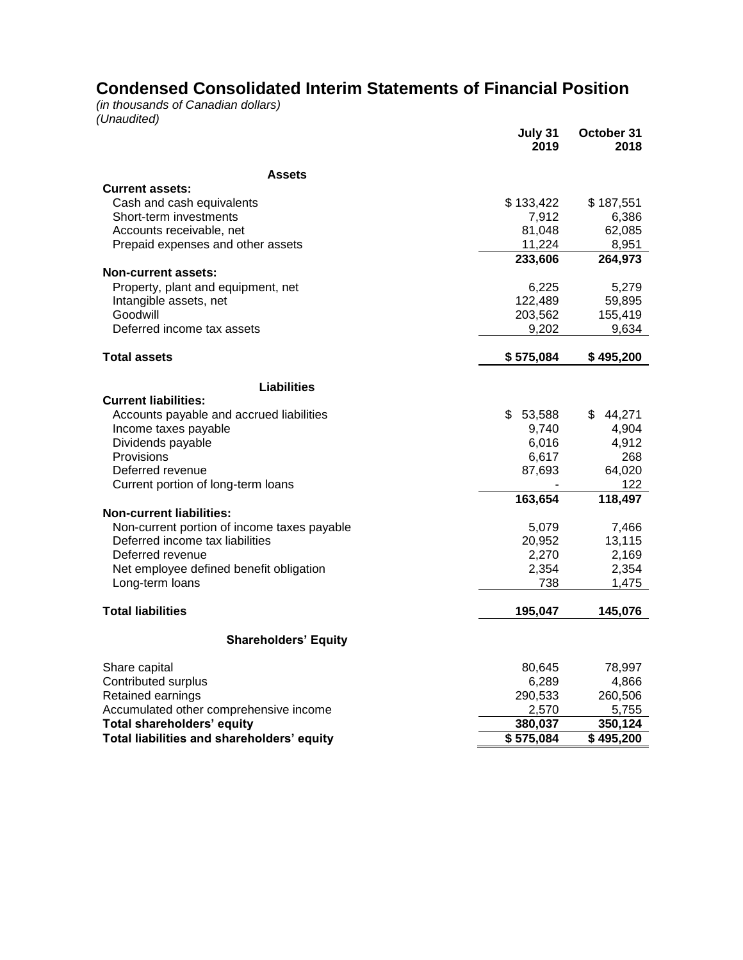## **Condensed Consolidated Interim Statements of Financial Position**

*(in thousands of Canadian dollars) (Unaudited)*

|                                             | July 31<br>2019 | October 31<br>2018 |
|---------------------------------------------|-----------------|--------------------|
| <b>Assets</b>                               |                 |                    |
| <b>Current assets:</b>                      |                 |                    |
| Cash and cash equivalents                   | \$133,422       | \$187,551          |
| Short-term investments                      | 7,912           | 6,386              |
| Accounts receivable, net                    | 81,048          | 62,085             |
| Prepaid expenses and other assets           | 11,224          | 8,951              |
|                                             | 233,606         | 264,973            |
| <b>Non-current assets:</b>                  |                 |                    |
| Property, plant and equipment, net          | 6,225           | 5,279              |
| Intangible assets, net                      | 122,489         | 59,895             |
| Goodwill                                    | 203,562         | 155,419            |
| Deferred income tax assets                  | 9,202           | 9,634              |
| <b>Total assets</b>                         | \$575,084       | \$495,200          |
| <b>Liabilities</b>                          |                 |                    |
| <b>Current liabilities:</b>                 |                 |                    |
| Accounts payable and accrued liabilities    | \$53,588        | \$44,271           |
| Income taxes payable                        | 9,740           | 4,904              |
| Dividends payable                           | 6,016           | 4,912              |
| Provisions                                  | 6,617           | 268                |
| Deferred revenue                            | 87,693          | 64,020             |
| Current portion of long-term loans          |                 | 122                |
|                                             | 163,654         | 118,497            |
| <b>Non-current liabilities:</b>             |                 |                    |
| Non-current portion of income taxes payable | 5,079           | 7,466              |
| Deferred income tax liabilities             | 20,952          | 13,115             |
| Deferred revenue                            | 2,270           | 2,169              |
| Net employee defined benefit obligation     | 2,354           | 2,354              |
| Long-term loans                             | 738             | 1,475              |
| <b>Total liabilities</b>                    | 195,047         | 145,076            |
| <b>Shareholders' Equity</b>                 |                 |                    |
| Share capital                               | 80,645          | 78,997             |
| Contributed surplus                         | 6,289           | 4,866              |
| Retained earnings                           | 290,533         | 260,506            |
| Accumulated other comprehensive income      | 2,570           | 5,755              |
| Total shareholders' equity                  | 380,037         | 350,124            |
| Total liabilities and shareholders' equity  | \$575,084       | \$495,200          |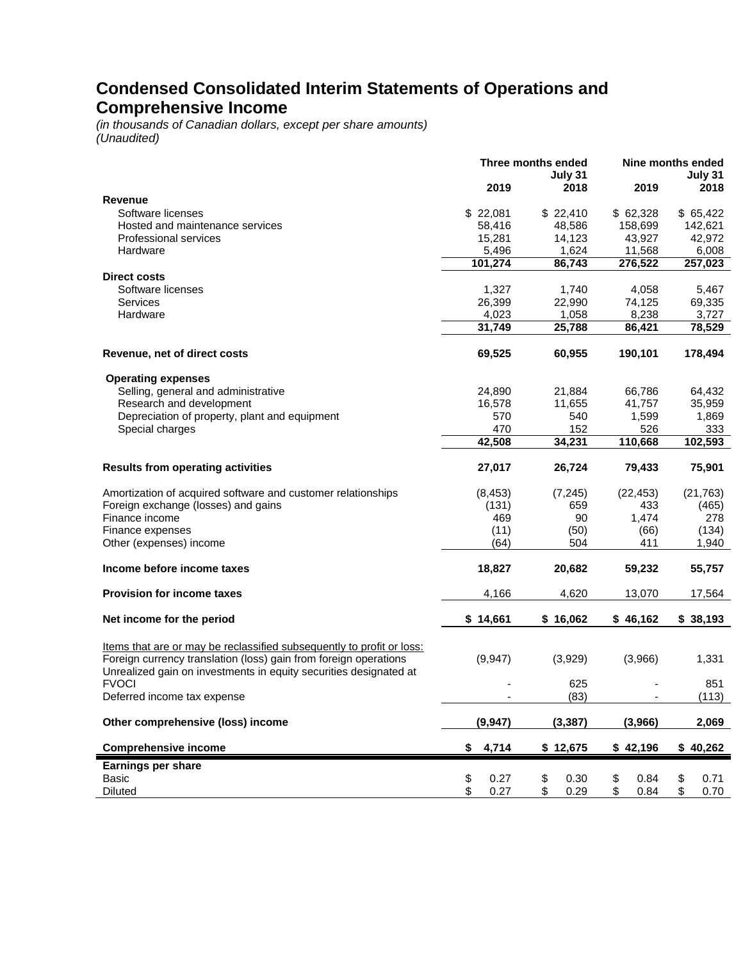## **Condensed Consolidated Interim Statements of Operations and Comprehensive Income**

*(in thousands of Canadian dollars, except per share amounts) (Unaudited)*

|                                                                                                                                                                                                                |             | Three months ended | Nine months ended |            |  |  |
|----------------------------------------------------------------------------------------------------------------------------------------------------------------------------------------------------------------|-------------|--------------------|-------------------|------------|--|--|
|                                                                                                                                                                                                                |             | July 31            |                   | July 31    |  |  |
|                                                                                                                                                                                                                | 2019        | 2018               | 2019              | 2018       |  |  |
| <b>Revenue</b>                                                                                                                                                                                                 |             |                    |                   |            |  |  |
| Software licenses                                                                                                                                                                                              | \$22,081    | \$22,410           | \$62,328          | \$65,422   |  |  |
| Hosted and maintenance services                                                                                                                                                                                | 58,416      | 48,586             | 158,699           | 142,621    |  |  |
| Professional services                                                                                                                                                                                          | 15,281      | 14,123             | 43,927            | 42,972     |  |  |
| Hardware                                                                                                                                                                                                       | 5,496       | 1,624              | 11,568            | 6,008      |  |  |
|                                                                                                                                                                                                                | 101,274     | 86,743             | 276,522           | 257,023    |  |  |
| <b>Direct costs</b>                                                                                                                                                                                            |             |                    |                   |            |  |  |
| Software licenses                                                                                                                                                                                              | 1,327       | 1,740              | 4,058             | 5,467      |  |  |
| Services                                                                                                                                                                                                       | 26,399      | 22,990             | 74,125            | 69,335     |  |  |
| Hardware                                                                                                                                                                                                       | 4,023       | 1,058              | 8,238             | 3,727      |  |  |
|                                                                                                                                                                                                                | 31,749      | 25,788             | 86,421            | 78,529     |  |  |
| Revenue, net of direct costs                                                                                                                                                                                   | 69,525      | 60,955             | 190,101           | 178,494    |  |  |
| <b>Operating expenses</b>                                                                                                                                                                                      |             |                    |                   |            |  |  |
| Selling, general and administrative                                                                                                                                                                            | 24,890      | 21.884             | 66,786            | 64,432     |  |  |
| Research and development                                                                                                                                                                                       | 16,578      | 11,655             | 41,757            | 35,959     |  |  |
| Depreciation of property, plant and equipment                                                                                                                                                                  | 570         | 540                | 1,599             | 1,869      |  |  |
| Special charges                                                                                                                                                                                                | 470         | 152                | 526               | 333        |  |  |
|                                                                                                                                                                                                                | 42,508      | 34,231             | 110,668           | 102,593    |  |  |
|                                                                                                                                                                                                                |             |                    |                   |            |  |  |
| <b>Results from operating activities</b>                                                                                                                                                                       | 27,017      | 26,724             | 79,433            | 75,901     |  |  |
| Amortization of acquired software and customer relationships                                                                                                                                                   | (8, 453)    | (7, 245)           | (22, 453)         | (21, 763)  |  |  |
| Foreign exchange (losses) and gains                                                                                                                                                                            | (131)       | 659                | 433               | (465)      |  |  |
| Finance income                                                                                                                                                                                                 | 469         | 90                 | 1,474             | 278        |  |  |
| Finance expenses                                                                                                                                                                                               | (11)        | (50)               | (66)              | (134)      |  |  |
| Other (expenses) income                                                                                                                                                                                        | (64)        | 504                | 411               | 1,940      |  |  |
|                                                                                                                                                                                                                |             |                    |                   |            |  |  |
| Income before income taxes                                                                                                                                                                                     | 18,827      | 20,682             | 59,232            | 55,757     |  |  |
| <b>Provision for income taxes</b>                                                                                                                                                                              | 4,166       | 4,620              | 13,070            | 17,564     |  |  |
| Net income for the period                                                                                                                                                                                      | \$14,661    | \$16,062           | \$46,162          | \$38,193   |  |  |
| Items that are or may be reclassified subsequently to profit or loss:<br>Foreign currency translation (loss) gain from foreign operations<br>Unrealized gain on investments in equity securities designated at | (9,947)     | (3,929)            | (3,966)           | 1,331      |  |  |
| <b>FVOCI</b>                                                                                                                                                                                                   |             | 625                |                   | 851        |  |  |
| Deferred income tax expense                                                                                                                                                                                    |             | (83)               |                   | (113)      |  |  |
|                                                                                                                                                                                                                |             |                    |                   |            |  |  |
| Other comprehensive (loss) income                                                                                                                                                                              | (9, 947)    | (3, 387)           | (3,966)           | 2,069      |  |  |
| <b>Comprehensive income</b>                                                                                                                                                                                    | 4,714<br>\$ | \$12,675           | \$42,196          | \$40,262   |  |  |
| <b>Earnings per share</b>                                                                                                                                                                                      |             |                    |                   |            |  |  |
| Basic                                                                                                                                                                                                          | \$<br>0.27  | \$<br>0.30         | \$<br>0.84        | \$<br>0.71 |  |  |
| <b>Diluted</b>                                                                                                                                                                                                 | \$<br>0.27  | \$<br>0.29         | \$<br>0.84        | \$<br>0.70 |  |  |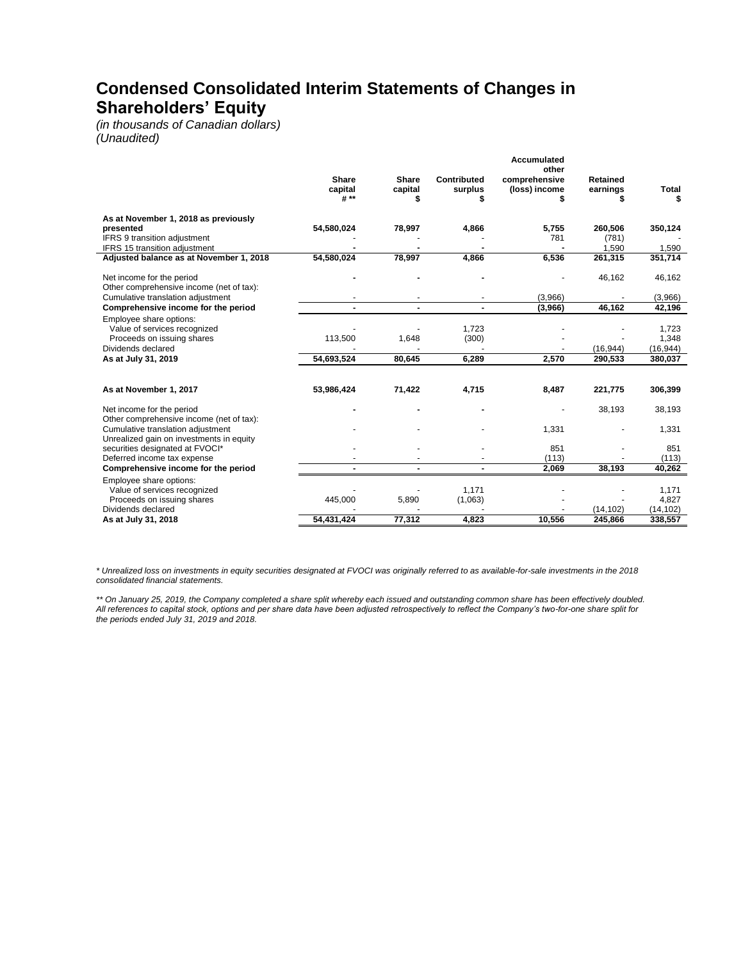## **Condensed Consolidated Interim Statements of Changes in Shareholders' Equity**

*(in thousands of Canadian dollars) (Unaudited)*

|                                                                               |                          |                              |                               | Accumulated<br>other           |                                  |            |
|-------------------------------------------------------------------------------|--------------------------|------------------------------|-------------------------------|--------------------------------|----------------------------------|------------|
|                                                                               | Share<br>capital<br># ** | <b>Share</b><br>capital<br>S | <b>Contributed</b><br>surplus | comprehensive<br>(loss) income | <b>Retained</b><br>earnings<br>S | Total<br>S |
| As at November 1, 2018 as previously                                          |                          |                              |                               |                                |                                  |            |
| presented                                                                     | 54,580,024               | 78,997                       | 4,866                         | 5,755                          | 260,506                          | 350,124    |
| IFRS 9 transition adjustment                                                  |                          |                              |                               | 781                            | (781)                            |            |
| IFRS 15 transition adjustment                                                 |                          |                              |                               |                                | 1,590                            | 1,590      |
| Adjusted balance as at November 1, 2018                                       | 54,580,024               | 78,997                       | 4.866                         | 6,536                          | 261,315                          | 351,714    |
| Net income for the period<br>Other comprehensive income (net of tax):         |                          |                              |                               |                                | 46,162                           | 46,162     |
| Cumulative translation adjustment                                             |                          |                              |                               | (3,966)                        |                                  | (3,966)    |
| Comprehensive income for the period                                           |                          |                              |                               | (3,966)                        | 46,162                           | 42,196     |
| Employee share options:<br>Value of services recognized                       |                          |                              | 1,723                         |                                |                                  | 1,723      |
| Proceeds on issuing shares                                                    | 113,500                  | 1,648                        | (300)                         |                                |                                  | 1,348      |
| Dividends declared                                                            |                          |                              |                               |                                | (16, 944)                        | (16, 944)  |
| As at July 31, 2019                                                           | 54,693,524               | 80,645                       | 6,289                         | 2,570                          | 290,533                          | 380,037    |
|                                                                               |                          |                              |                               |                                |                                  |            |
| As at November 1, 2017                                                        | 53,986,424               | 71,422                       | 4.715                         | 8,487                          | 221,775                          | 306,399    |
| Net income for the period<br>Other comprehensive income (net of tax):         |                          |                              |                               |                                | 38,193                           | 38,193     |
| Cumulative translation adiustment<br>Unrealized gain on investments in equity |                          |                              |                               | 1,331                          |                                  | 1,331      |
| securities designated at FVOCI*                                               |                          |                              |                               | 851                            |                                  | 851        |
| Deferred income tax expense                                                   |                          |                              |                               | (113)                          |                                  | (113)      |
| Comprehensive income for the period                                           |                          |                              |                               | 2,069                          | 38,193                           | 40,262     |
| Employee share options:                                                       |                          |                              |                               |                                |                                  |            |
| Value of services recognized                                                  |                          |                              | 1,171                         |                                |                                  | 1,171      |
| Proceeds on issuing shares                                                    | 445,000                  | 5,890                        | (1,063)                       |                                |                                  | 4,827      |
| Dividends declared                                                            |                          |                              |                               |                                | (14, 102)                        | (14, 102)  |
| As at July 31, 2018                                                           | 54,431,424               | 77,312                       | 4.823                         | 10,556                         | 245,866                          | 338,557    |

*\* Unrealized loss on investments in equity securities designated at FVOCI was originally referred to as available-for-sale investments in the 2018 consolidated financial statements.*

*\*\* On January 25, 2019, the Company completed a share split whereby each issued and outstanding common share has been effectively doubled. All references to capital stock, options and per share data have been adjusted retrospectively to reflect the Company's two-for-one share split for the periods ended July 31, 2019 and 2018.*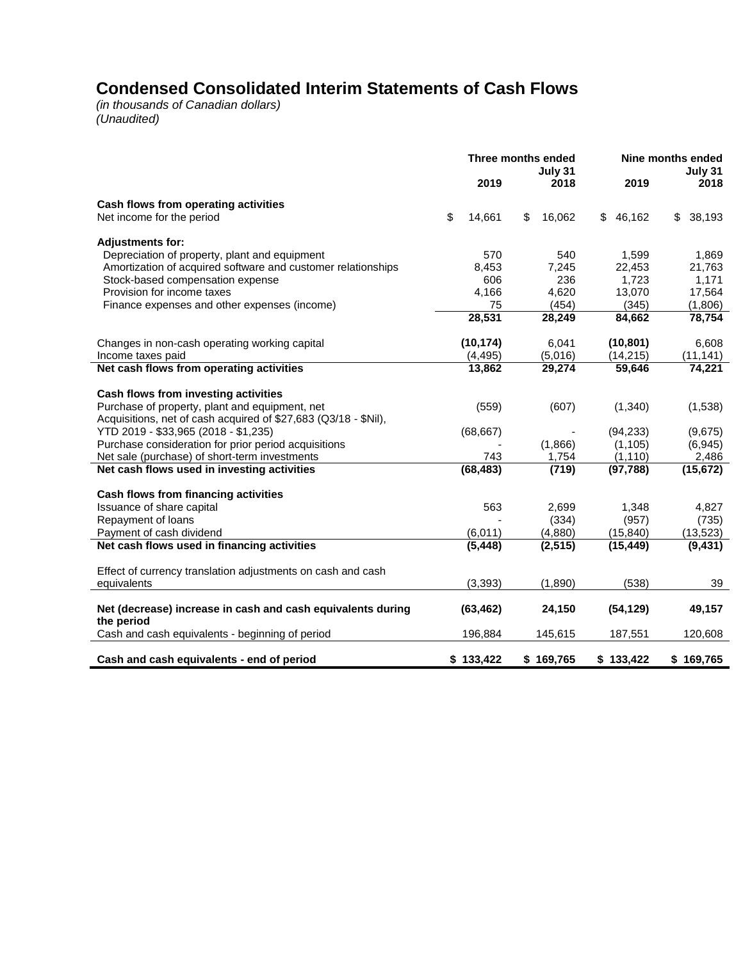# **Condensed Consolidated Interim Statements of Cash Flows**

*(in thousands of Canadian dollars) (Unaudited)*

|                                                                           | Three months ended<br>July 31 |           |    | Nine months ended |    | July 31   |              |
|---------------------------------------------------------------------------|-------------------------------|-----------|----|-------------------|----|-----------|--------------|
|                                                                           |                               | 2019      |    | 2018              |    | 2019      | 2018         |
| Cash flows from operating activities                                      |                               |           |    |                   |    |           |              |
| Net income for the period                                                 | \$                            | 14,661    | \$ | 16,062            | \$ | 46,162    | \$<br>38,193 |
| <b>Adjustments for:</b>                                                   |                               |           |    |                   |    |           |              |
| Depreciation of property, plant and equipment                             |                               | 570       |    | 540               |    | 1,599     | 1,869        |
| Amortization of acquired software and customer relationships              |                               | 8,453     |    | 7,245             |    | 22,453    | 21,763       |
| Stock-based compensation expense                                          |                               | 606       |    | 236               |    | 1,723     | 1,171        |
| Provision for income taxes                                                |                               | 4,166     |    | 4,620             |    | 13,070    | 17,564       |
| Finance expenses and other expenses (income)                              |                               | 75        |    | (454)             |    | (345)     | (1,806)      |
|                                                                           |                               | 28,531    |    | 28,249            |    | 84,662    | 78,754       |
| Changes in non-cash operating working capital                             |                               | (10, 174) |    | 6,041             |    | (10, 801) | 6,608        |
| Income taxes paid                                                         |                               | (4, 495)  |    | (5,016)           |    | (14, 215) | (11, 141)    |
| Net cash flows from operating activities                                  |                               | 13,862    |    | 29,274            |    | 59,646    | 74,221       |
| Cash flows from investing activities                                      |                               |           |    |                   |    |           |              |
| Purchase of property, plant and equipment, net                            |                               | (559)     |    | (607)             |    | (1,340)   | (1,538)      |
| Acquisitions, net of cash acquired of \$27,683 (Q3/18 - \$Nil),           |                               |           |    |                   |    |           |              |
| YTD 2019 - \$33,965 (2018 - \$1,235)                                      |                               | (68, 667) |    |                   |    | (94, 233) | (9,675)      |
| Purchase consideration for prior period acquisitions                      |                               |           |    | (1,866)           |    | (1, 105)  | (6, 945)     |
| Net sale (purchase) of short-term investments                             |                               | 743       |    | 1,754             |    | (1, 110)  | 2,486        |
| Net cash flows used in investing activities                               |                               | (68, 483) |    | (719)             |    | (97, 788) | (15, 672)    |
| Cash flows from financing activities                                      |                               |           |    |                   |    |           |              |
| Issuance of share capital                                                 |                               | 563       |    | 2,699             |    | 1,348     | 4,827        |
| Repayment of loans                                                        |                               |           |    | (334)             |    | (957)     | (735)        |
| Payment of cash dividend                                                  |                               | (6,011)   |    | (4,880)           |    | (15, 840) | (13, 523)    |
| Net cash flows used in financing activities                               |                               | (5, 448)  |    | (2, 515)          |    | (15, 449) | (9, 431)     |
| Effect of currency translation adjustments on cash and cash               |                               |           |    |                   |    |           |              |
| equivalents                                                               |                               | (3, 393)  |    | (1,890)           |    | (538)     | 39           |
| Net (decrease) increase in cash and cash equivalents during<br>the period |                               | (63, 462) |    | 24,150            |    | (54, 129) | 49,157       |
| Cash and cash equivalents - beginning of period                           |                               | 196,884   |    | 145,615           |    | 187,551   | 120,608      |
| Cash and cash equivalents - end of period                                 |                               | \$133,422 |    | \$169,765         |    | \$133,422 | \$169,765    |